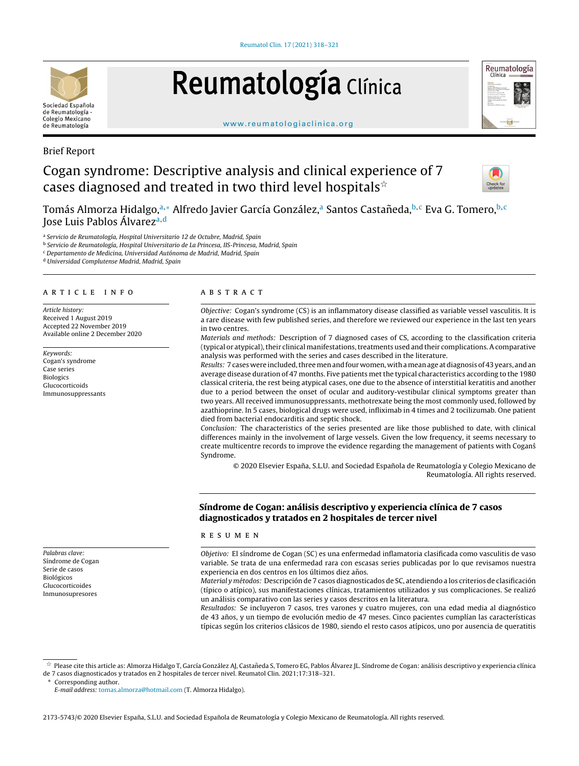

# Reumatología Clínica



#### [www.reumatologiaclinica.org](http://www.reumatologiaclinica.org)

## Brief Report

# Cogan syndrome: Descriptive analysis and clinical experience of 7 cases diagnosed and treated in two third level hospitals $\dot{\mathbf{r}}$



Tomás Almorza Hidalgo,ª,\* Alfredo Javier García González,ª Santos Castañeda,<sup>b,c</sup> Eva G. Tomero,<sup>b,c</sup> Jose Luis Pablos Álvarez<sup>a, d</sup>

<sup>a</sup> Servicio de Reumatología, Hospital Universitario 12 de Octubre, Madrid, Spain

- <sup>b</sup> Servicio de Reumatología, Hospital Universitario de La Princesa, IIS-Princesa, Madrid, Spain
- <sup>c</sup> Departamento de Medicina, Universidad Autónoma de Madrid, Madrid, Spain

<sup>d</sup> Universidad Complutense Madrid, Madrid, Spain

#### ARTICLE INFO

Article history: Received 1 August 2019 Accepted 22 November 2019 Available online 2 December 2020

Keywords: Cogan's syndrome Case series Biologics Glucocorticoids Immunosuppressants

Palabras clave: Síndrome de Cogan Serie de casos Biológicos Glucocorticoides Inmunosupresores

#### A B S T R A C T

Objective: Cogan's syndrome (CS) is an inflammatory disease classified as variable vessel vasculitis. It is a rare disease with few published series, and therefore we reviewed our experience in the last ten years in two centres.

Materials and methods: Description of 7 diagnosed cases of CS, according to the classification criteria (typical or atypical),their clinical manifestations,treatments used and their complications.Acomparative analysis was performed with the series and cases described in the literature.

Results: 7 cases were included, three men and four women, with a mean age at diagnosis of 43 years, and an average disease duration of 47 months. Five patients met the typical characteristics according to the 1980 classical criteria, the rest being atypical cases, one due to the absence of interstitial keratitis and another due to a period between the onset of ocular and auditory-vestibular clinical symptoms greater than two years. All received immunosuppressants, methotrexate being the most commonly used, followed by azathioprine. In 5 cases, biological drugs were used, infliximab in 4 times and 2 tocilizumab. One patient died from bacterial endocarditis and septic shock.

Conclusion: The characteristics of the series presented are like those published to date, with clinical differences mainly in the involvement of large vessels. Given the low frequency, it seems necessary to create multicentre records to improve the evidence regarding the management of patients with Cogans´ Syndrome.

© 2020 Elsevier España, S.L.U. and Sociedad Española de Reumatología y Colegio Mexicano de Reumatología. All rights reserved.

### Síndrome de Cogan: análisis descriptivo y experiencia clínica de 7 casos diagnosticados y tratados en 2 hospitales de tercer nivel

#### r e s u m e n

Objetivo: El síndrome de Cogan (SC) es una enfermedad inflamatoria clasificada como vasculitis de vaso variable. Se trata de una enfermedad rara con escasas series publicadas por lo que revisamos nuestra experiencia en dos centros en los últimos diez años.

Material y métodos: Descripción de 7 casos diagnosticados de SC, atendiendo a los criterios de clasificación (típico o atípico), sus manifestaciones clínicas, tratamientos utilizados y sus complicaciones. Se realizó un análisis comparativo con las series y casos descritos en la literatura.

Resultados: Se incluyeron 7 casos, tres varones y cuatro mujeres, con una edad media al diagnóstico de 43 años, y un tiempo de evolución medio de 47 meses. Cinco pacientes cumplían las características típicas según los criterios clásicos de 1980, siendo el resto casos atípicos, uno por ausencia de queratitis

 $\frac{1}{24}$ Please cite this article as: Almorza Hidalgo T, García González AJ, Castañeda S, Tomero EG, Pablos Álvarez JL. Síndrome de Cogan: análisis descriptivo y experiencia clínica de 7 casos diagnosticados y tratados en 2 hospitales de tercer nivel. Reumatol Clin. 2021;17:318–321.

Corresponding author.

E-mail address: [tomas.almorza@hotmail.com](mailto:tomas.almorza@hotmail.com) (T. Almorza Hidalgo).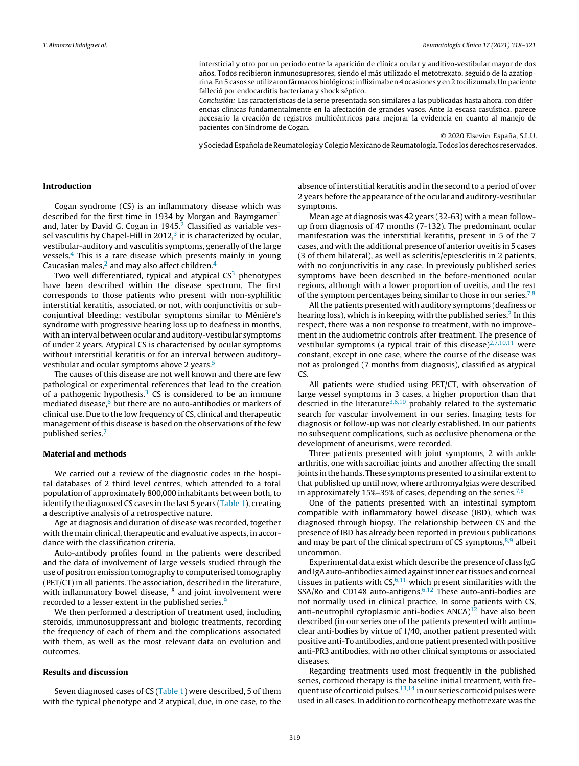intersticial y otro por un periodo entre la aparición de clínica ocular y auditivo-vestibular mayor de dos años. Todos recibieron inmunosupresores, siendo el más utilizado el metotrexato, seguido de la azatioprina. En 5 casos se utilizaron fármacos biológicos:infliximab en 4 ocasiones y en 2 tocilizumab. Un paciente falleció por endocarditis bacteriana y shock séptico.

Conclusión: Las características de la serie presentada son similares a las publicadas hasta ahora, con diferencias clínicas fundamentalmente en la afectación de grandes vasos. Ante la escasa casuística, parece necesario la creación de registros multicéntricos para mejorar la evidencia en cuanto al manejo de pacientes con Síndrome de Cogan.

© 2020 Elsevier España, S.L.U.

y Sociedad Española de Reumatología y Colegio Mexicano de Reumatología. Todos los derechos reservados.

#### Introduction

Cogan syndrome (CS) is an inflammatory disease which was described for the first time in [1](#page-3-0)934 by Morgan and Baymgamer<sup>1</sup> and, later by David G. Cogan in  $1945<sup>2</sup>$  $1945<sup>2</sup>$  $1945<sup>2</sup>$  Classified as variable vessel vasculitis by Chapel-Hill in  $2012<sup>3</sup>$  $2012<sup>3</sup>$  $2012<sup>3</sup>$  it is characterized by ocular, vestibular-auditory and vasculitis symptoms, generally of the large vessels. $4$  This is a rare disease which presents mainly in young C[a](#page-3-0)ucasian males, $<sup>2</sup>$  and may also affect children.<sup>[4](#page-3-0)</sup></sup>

Two well differentiated, typical and atypical  $CS<sup>3</sup>$  $CS<sup>3</sup>$  $CS<sup>3</sup>$  phenotypes have been described within the disease spectrum. The first corresponds to those patients who present with non-syphilitic interstitial keratitis, associated, or not, with conjunctivitis or subconjuntival bleeding; vestibular symptoms similar to Ménière's syndrome with progressive hearing loss up to deafness in months, with an interval between ocular and auditory-vestibular symptoms of under 2 years. Atypical CS is characterised by ocular symptoms without interstitial keratitis or for an interval between auditoryvestibular and ocular symptoms above 2 years.[5](#page-3-0)

The causes of this disease are not well known and there are few pathological or experimental references that lead to the creation of a pathogenic hypothesis.<sup>[3](#page-3-0)</sup> CS is considered to be an immune mediated disease, $6$  but there are no auto-antibodies or markers of clinical use. Due to the low frequency of CS, clinical and therapeutic management of this disease is based on the observations of the few published series.[7](#page-3-0)

#### Material and methods

We carried out a review of the diagnostic codes in the hospital databases of 2 third level centres, which attended to a total population of approximately 800,000 inhabitants between both, to identify the diagnosed CS cases in the last 5 years [\(Table](#page-2-0) 1), creating a descriptive analysis of a retrospective nature.

Age at diagnosis and duration of disease was recorded, together with the main clinical, therapeutic and evaluative aspects, in accordance with the classification criteria.

Auto-antibody profiles found in the patients were described and the data of involvement of large vessels studied through the use of positron emission tomography to computerised tomography (PET/CT) in all patients. The association, described in the literature, with inflammatory bowel disease, <sup>8</sup> and joint involvement were recorded to a lesser extent in the published series.<sup>[9](#page-3-0)</sup>

We then performed a description of treatment used, including steroids, immunosuppressant and biologic treatments, recording the frequency of each of them and the complications associated with them, as well as the most relevant data on evolution and outcomes.

#### Results and discussion

Seven diagnosed cases of CS [\(Table](#page-2-0) 1) were described, 5 of them with the typical phenotype and 2 atypical, due, in one case, to the

absence of interstitial keratitis and in the second to a period of over 2 years before the appearance of the ocular and auditory-vestibular symptoms.

Mean age at diagnosis was 42 years (32-63) with a mean followup from diagnosis of 47 months (7-132). The predominant ocular manifestation was the interstitial keratitis, present in 5 of the 7 cases, and with the additional presence of anterior uveitis in 5 cases (3 of them bilateral), as well as scleritis/epiescleritis in 2 patients, with no conjunctivitis in any case. In previously published series symptoms have been described in the before-mentioned ocular regions, although with a lower proportion of uveitis, and the rest of the symptom percentages being similar to those in our series.<sup>[7,8](#page-3-0)</sup>

All the patients presented with auditory symptoms (deafness or hearing loss), which is in keeping with the published series.<sup>2</sup> [In](#page-3-0) this respect, there was a non response to treatment, with no improvement in the audiometric controls after treatment. The presence of vestibular symptoms (a typical trait of this disease) $2,7,10,11$  were constant, except in one case, where the course of the disease was not as prolonged (7 months from diagnosis), classified as atypical CS.

All patients were studied using PET/CT, with observation of large vessel symptoms in 3 cases, a higher proportion than that descried in the literature<sup>[3,6,10](#page-3-0)</sup> probably related to the systematic search for vascular involvement in our series. Imaging tests for diagnosis or follow-up was not clearly established. In our patients no subsequent complications, such as occlusive phenomena or the development of aneurisms, were recorded.

Three patients presented with joint symptoms, 2 with ankle arthritis, one with sacroiliac joints and another affecting the small joints in the hands. These symptoms presented to a similar extent to that published up until now, where arthromyalgias were described in approximately 15%–35% of cases, depending on the series.<sup>[7,8](#page-3-0)</sup>

One of the patients presented with an intestinal symptom compatible with inflammatory bowel disease (IBD), which was diagnosed through biopsy. The relationship between CS and the presence of IBD has already been reported in previous publications and may be part of the clinical spectrum of CS symptoms, $8,9$  albeit uncommon.

Experimental data exist which describe the presence of class IgG and IgA auto-antibodies aimed against inner ear tissues and corneal tissues in patients with  $CS<sub>6</sub>$ , which present similarities with the SSA/Ro and CD148 auto-antigens. $6,12$  These auto-anti-bodies are not normally used in clinical practice. In some patients with CS, anti-neutrophil cytoplasmic anti-bodies  $ANCA$ <sup>[12](#page-3-0)</sup> have also been described (in our series one of the patients presented with antinuclear anti-bodies by virtue of 1/40, another patient presented with positive anti-To antibodies, and one patient presented with positive anti-PR3 antibodies, with no other clinical symptoms or associated diseases.

Regarding treatments used most frequently in the published series, corticoid therapy is the baseline initial treatment, with frequent use of corticoid pulses. $13,14$  in our series corticoid pulses were used in all cases. In addition to corticotheapy methotrexate was the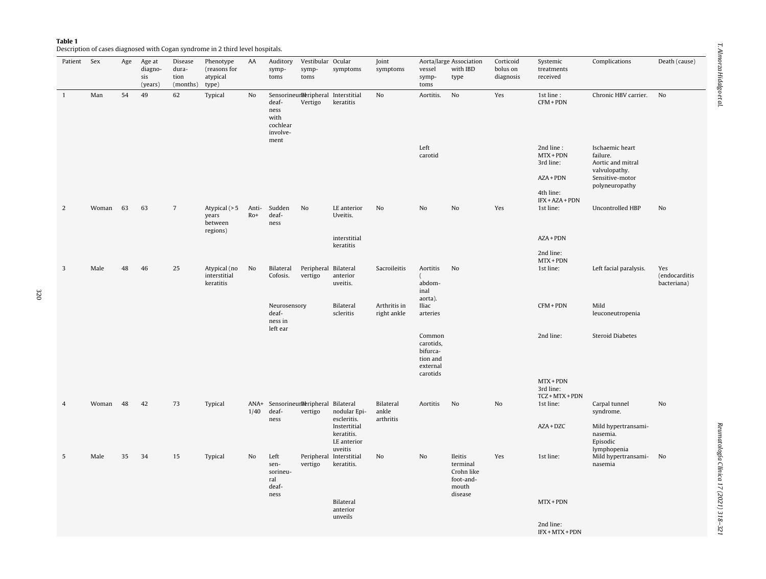<span id="page-2-0"></span>

|--|--|

Description of cases diagnosed with Cogan syndrome in 2 third level hospitals.

| Patient Sex  |          | Age | Age at<br>diagno-<br>sis<br>(years) | Disease<br>dura-<br>tion<br>(months) type) | Phenotype<br>(reasons for<br>atypical          | AA             | symp-<br>toms                                         | Auditory Vestibular Ocular<br>symp-<br>toms   | symptoms                                             | Joint<br>symptoms               | vessel<br>symp-<br>toms                                             | Aorta/large Association<br>with IBD<br>type                        | Corticoid<br>bolus on<br>diagnosis | Systemic<br>treatments<br>received               | Complications                                                                                          | Death (cause)        |
|--------------|----------|-----|-------------------------------------|--------------------------------------------|------------------------------------------------|----------------|-------------------------------------------------------|-----------------------------------------------|------------------------------------------------------|---------------------------------|---------------------------------------------------------------------|--------------------------------------------------------------------|------------------------------------|--------------------------------------------------|--------------------------------------------------------------------------------------------------------|----------------------|
| $\mathbf{1}$ | Man      | 54  | 49                                  | 62                                         | Typical                                        | No             | deaf-<br>ness<br>with<br>cochlear<br>involve-<br>ment | SensorineurReripheral Interstitial<br>Vertigo | keratitis                                            | No                              | Aortitis.                                                           | No                                                                 | Yes                                | 1st line :<br>$CFM + PDN$                        | Chronic HBV carrier.                                                                                   | No                   |
|              |          |     |                                     |                                            |                                                |                |                                                       |                                               |                                                      |                                 | Left<br>carotid                                                     |                                                                    |                                    | 2nd line:<br>MTX + PDN<br>3rd line:<br>$AZA+PDN$ | Ischaemic heart<br>failure.<br>Aortic and mitral<br>valvulopathy.<br>Sensitive-motor<br>polyneuropathy |                      |
|              |          |     |                                     |                                            |                                                |                |                                                       |                                               |                                                      |                                 |                                                                     |                                                                    |                                    | 4th line:<br>IFX + AZA + PDN                     |                                                                                                        |                      |
| 2            | Woman 63 |     | 63                                  | $7\overline{ }$                            | Atypical $(>5$<br>years<br>between<br>regions) | Anti-<br>$Ro+$ | Sudden<br>deaf-<br>ness                               | No                                            | LE anterior<br>Uveitis.                              | No                              | No                                                                  | No                                                                 | Yes                                | 1st line:                                        | Uncontrolled HBP                                                                                       | No                   |
|              |          |     |                                     |                                            |                                                |                |                                                       |                                               | interstitial<br>keratitis                            |                                 |                                                                     |                                                                    |                                    | $AZA+PDN$                                        |                                                                                                        |                      |
|              |          |     |                                     |                                            |                                                |                |                                                       |                                               |                                                      |                                 |                                                                     |                                                                    |                                    | 2nd line:<br>MTX + PDN                           |                                                                                                        |                      |
| 3            | Male     | 48  | 46                                  | 25                                         | Atypical (no<br>interstitial                   | No             | Bilateral<br>Cofosis.                                 | Peripheral Bilateral<br>vertigo               | anterior                                             | Sacroileitis                    | Aortitis                                                            | No                                                                 |                                    | 1st line:                                        | Left facial paralysis.                                                                                 | Yes<br>(endocarditis |
|              |          |     |                                     |                                            | keratitis                                      |                |                                                       |                                               | uveitis.                                             |                                 | abdom-<br>inal<br>aorta).                                           |                                                                    |                                    |                                                  |                                                                                                        | bacteriana)          |
|              |          |     |                                     |                                            |                                                |                | Neurosensory<br>deaf-<br>ness in<br>left ear          |                                               | Bilateral<br>scleritis                               | Arthritis in<br>right ankle     | Iliac<br>arteries                                                   |                                                                    |                                    | CFM + PDN                                        | Mild<br>leuconeutropenia                                                                               |                      |
|              |          |     |                                     |                                            |                                                |                |                                                       |                                               |                                                      |                                 | Common<br>carotids,<br>bifurca-<br>tion and<br>external<br>carotids |                                                                    |                                    | 2nd line:                                        | <b>Steroid Diabetes</b>                                                                                |                      |
|              |          |     |                                     |                                            |                                                |                |                                                       |                                               |                                                      |                                 |                                                                     |                                                                    |                                    | $MTX + PDN$<br>3rd line:                         |                                                                                                        |                      |
| 4            | Woman 48 |     | 42                                  | 73                                         | Typical                                        | 1/40           | ANA+ SensorineurReripheral Bilateral<br>deaf-<br>ness | vertigo                                       | nodular Epi-<br>escleritis.                          | Bilateral<br>ankle<br>arthritis | Aortitis                                                            | No                                                                 | No                                 | TCZ + MTX + PDN<br>1st line:                     | Carpal tunnel<br>syndrome.                                                                             | No                   |
|              |          |     |                                     |                                            |                                                |                |                                                       |                                               | Instertitial<br>keratitis.<br>LE anterior<br>uveitis |                                 |                                                                     |                                                                    |                                    | $AZA + DZC$                                      | Mild hypertransami-<br>nasemia.<br>Episodic<br>lymphopenia                                             |                      |
| 5            | Male     | 35  | 34                                  | 15                                         | Typical                                        | No             | Left<br>sen-<br>sorineu-<br>ral<br>deaf-<br>ness      | vertigo                                       | Peripheral Interstitial<br>keratitis.                | No                              | No                                                                  | Ileitis<br>terminal<br>Crohn like<br>foot-and-<br>mouth<br>disease | Yes                                | 1st line:                                        | Mild hypertransami- No<br>nasemia                                                                      |                      |
|              |          |     |                                     |                                            |                                                |                |                                                       |                                               | Bilateral<br>anterior                                |                                 |                                                                     |                                                                    |                                    | $MTX + PDN$                                      |                                                                                                        |                      |
|              |          |     |                                     |                                            |                                                |                |                                                       |                                               | unveils                                              |                                 |                                                                     |                                                                    |                                    | 2nd line:<br>IFX + MTX + PDN                     |                                                                                                        |                      |
|              |          |     |                                     |                                            |                                                |                |                                                       |                                               |                                                      |                                 |                                                                     |                                                                    |                                    |                                                  |                                                                                                        |                      |